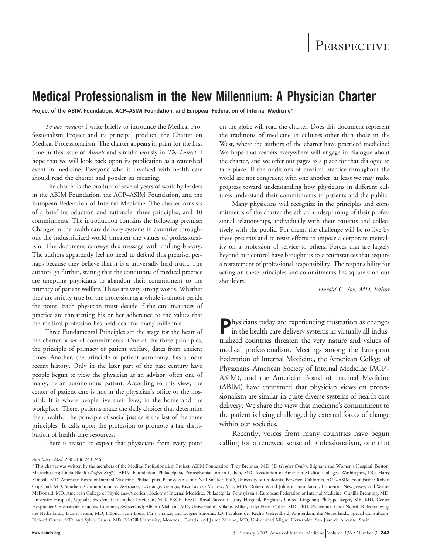# **Medical Professionalism in the New Millennium: A Physician Charter**

**Project of the ABIM Foundation, ACP–ASIM Foundation, and European Federation of Internal Medicine**\*

*To our readers:* I write briefly to introduce the Medical Professionalism Project and its principal product, the Charter on Medical Professionalism. The charter appears in print for the first time in this issue of *Annals* and simultaneously in *The Lancet*. I hope that we will look back upon its publication as a watershed event in medicine. Everyone who is involved with health care should read the charter and ponder its meaning.

The charter is the product of several years of work by leaders in the ABIM Foundation, the ACP–ASIM Foundation, and the European Federation of Internal Medicine. The charter consists of a brief introduction and rationale, three principles, and 10 commitments. The introduction contains the following premise: Changes in the health care delivery systems in countries throughout the industrialized world threaten the values of professionalism. The document conveys this message with chilling brevity. The authors apparently feel no need to defend this premise, perhaps because they believe that it is a universally held truth. The authors go further, stating that the conditions of medical practice are tempting physicians to abandon their commitment to the primacy of patient welfare. These are very strong words. Whether they are strictly true for the profession as a whole is almost beside the point. Each physician must decide if the circumstances of practice are threatening his or her adherence to the values that the medical profession has held dear for many millennia.

Three Fundamental Principles set the stage for the heart of the charter, a set of commitments. One of the three principles, the principle of primacy of patient welfare, dates from ancient times. Another, the principle of patient autonomy, has a more recent history. Only in the later part of the past century have people begun to view the physician as an advisor, often one of many, to an autonomous patient. According to this view, the center of patient care is not in the physician's office or the hospital. It is where people live their lives, in the home and the workplace. There, patients make the daily choices that determine their health. The principle of social justice is the last of the three principles. It calls upon the profession to promote a fair distribution of health care resources.

There is reason to expect that physicians from every point

on the globe will read the charter. Does this document represent the traditions of medicine in cultures other than those in the West, where the authors of the charter have practiced medicine? We hope that readers everywhere will engage in dialogue about the charter, and we offer our pages as a place for that dialogue to take place. If the traditions of medical practice throughout the world are not congruent with one another, at least we may make progress toward understanding how physicians in different cultures understand their commitments to patients and the public.

Many physicians will recognize in the principles and commitments of the charter the ethical underpinning of their professional relationships, individually with their patients and collectively with the public. For them, the challenge will be to live by these precepts and to resist efforts to impose a corporate mentality on a profession of service to others. Forces that are largely beyond our control have brought us to circumstances that require a restatement of professional responsibility. The responsibility for acting on these principles and commitments lies squarely on our shoulders.

—*Harold C. Sox, MD, Editor*

**P**hysicians today are experiencing frustration as changes in the health care delivery systems in virtually all industrialized countries threaten the very nature and values of medical professionalism. Meetings among the European Federation of Internal Medicine, the American College of Physicians–American Society of Internal Medicine (ACP– ASIM), and the American Board of Internal Medicine (ABIM) have confirmed that physician views on professionalism are similar in quite diverse systems of health care delivery. We share the view that medicine's commitment to the patient is being challenged by external forces of change within our societies.

Recently, voices from many countries have begun calling for a renewed sense of professionalism, one that

*Ann Intern Med.* 2002;136:243-246.

<sup>\*</sup>This charter was written by the members of the Medical Professionalism Project: ABIM Foundation: Troy Brennan, MD, JD (*Project Chair*), Brigham and Women's Hospital, Boston, Massachusetts; Linda Blank (*Project Staff* ), ABIM Foundation, Philadelphia, Pennsylvania; Jordan Cohen, MD, Association of American Medical Colleges, Washington, DC; Harry Kimball, MD, American Board of Internal Medicine, Philadelphia, Pennsylvania; and Neil Smelser, PhD, University of California, Berkeley, California. ACP–ASIM Foundation: Robert Copeland, MD, Southern Cardiopulmonary Associates, LaGrange, Georgia; Risa Lavizzo-Mourey, MD, MBA, Robert Wood Johnson Foundation, Princeton, New Jersey; and Walter McDonald, MD, American College of Physicians–American Society of Internal Medicine, Philadelphia, Pennsylvania. European Federation of Internal Medicine: Gunilla Brenning, MD, University Hospital, Uppsala, Sweden; Christopher Davidson, MD, FRCP, FESC, Royal Sussex County Hospital, Brighton, United Kingdom; Philippe Jaeger, MB, MD, Centre Hospitalier Universitaire Vaudois, Lausanne, Switzerland; Alberto Malliani, MD, Universita` di Milano, Milan, Italy; Hein Muller, MD, PhD, Ziekenhuis Gooi-Noord, Rijksstraatweg, the Netherlands; Daniel Sereni, MD, Hôpital Saint-Louis, Paris, France; and Eugene Sutorius, JD, Faculteit der Rechts Geleerdheid, Amsterdam, the Netherlands. Special Consultants: Richard Cruess, MD, and Sylvia Cruess, MD, McGill University, Montreal, Canada; and Jaime Merino, MD, Universidad Miguel Hernández, San Juan de Alicante, Spain.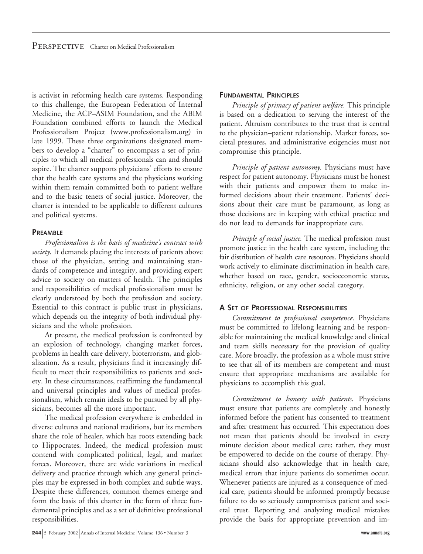is activist in reforming health care systems. Responding to this challenge, the European Federation of Internal Medicine, the ACP–ASIM Foundation, and the ABIM Foundation combined efforts to launch the Medical Professionalism Project (www.professionalism.org) in late 1999. These three organizations designated members to develop a "charter" to encompass a set of principles to which all medical professionals can and should aspire. The charter supports physicians' efforts to ensure that the health care systems and the physicians working within them remain committed both to patient welfare and to the basic tenets of social justice. Moreover, the charter is intended to be applicable to different cultures and political systems.

#### **PREAMBLE**

*Professionalism is the basis of medicine's contract with society.* It demands placing the interests of patients above those of the physician, setting and maintaining standards of competence and integrity, and providing expert advice to society on matters of health. The principles and responsibilities of medical professionalism must be clearly understood by both the profession and society. Essential to this contract is public trust in physicians, which depends on the integrity of both individual physicians and the whole profession.

At present, the medical profession is confronted by an explosion of technology, changing market forces, problems in health care delivery, bioterrorism, and globalization. As a result, physicians find it increasingly difficult to meet their responsibilities to patients and society. In these circumstances, reaffirming the fundamental and universal principles and values of medical professionalism, which remain ideals to be pursued by all physicians, becomes all the more important.

The medical profession everywhere is embedded in diverse cultures and national traditions, but its members share the role of healer, which has roots extending back to Hippocrates. Indeed, the medical profession must contend with complicated political, legal, and market forces. Moreover, there are wide variations in medical delivery and practice through which any general principles may be expressed in both complex and subtle ways. Despite these differences, common themes emerge and form the basis of this charter in the form of three fundamental principles and as a set of definitive professional responsibilities.

### **FUNDAMENTAL PRINCIPLES**

*Principle of primacy of patient welfare.* This principle is based on a dedication to serving the interest of the patient. Altruism contributes to the trust that is central to the physician–patient relationship. Market forces, societal pressures, and administrative exigencies must not compromise this principle.

*Principle of patient autonomy.* Physicians must have respect for patient autonomy. Physicians must be honest with their patients and empower them to make informed decisions about their treatment. Patients' decisions about their care must be paramount, as long as those decisions are in keeping with ethical practice and do not lead to demands for inappropriate care.

*Principle of social justice.* The medical profession must promote justice in the health care system, including the fair distribution of health care resources. Physicians should work actively to eliminate discrimination in health care, whether based on race, gender, socioeconomic status, ethnicity, religion, or any other social category.

## **A SET OF PROFESSIONAL RESPONSIBILITIES**

*Commitment to professional competence.* Physicians must be committed to lifelong learning and be responsible for maintaining the medical knowledge and clinical and team skills necessary for the provision of quality care. More broadly, the profession as a whole must strive to see that all of its members are competent and must ensure that appropriate mechanisms are available for physicians to accomplish this goal.

*Commitment to honesty with patients.* Physicians must ensure that patients are completely and honestly informed before the patient has consented to treatment and after treatment has occurred. This expectation does not mean that patients should be involved in every minute decision about medical care; rather, they must be empowered to decide on the course of therapy. Physicians should also acknowledge that in health care, medical errors that injure patients do sometimes occur. Whenever patients are injured as a consequence of medical care, patients should be informed promptly because failure to do so seriously compromises patient and societal trust. Reporting and analyzing medical mistakes provide the basis for appropriate prevention and im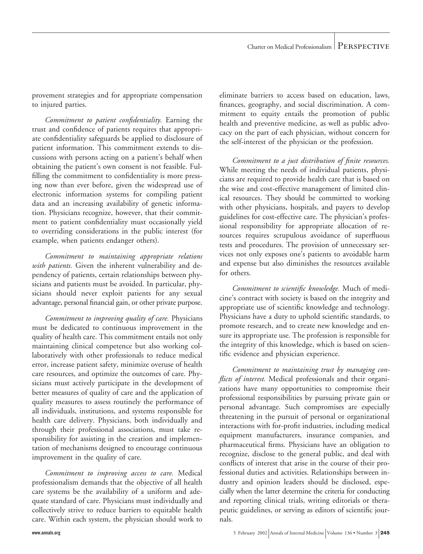provement strategies and for appropriate compensation to injured parties.

*Commitment to patient confidentiality.* Earning the trust and confidence of patients requires that appropriate confidentiality safeguards be applied to disclosure of patient information. This commitment extends to discussions with persons acting on a patient's behalf when obtaining the patient's own consent is not feasible. Fulfilling the commitment to confidentiality is more pressing now than ever before, given the widespread use of electronic information systems for compiling patient data and an increasing availability of genetic information. Physicians recognize, however, that their commitment to patient confidentiality must occasionally yield to overriding considerations in the public interest (for example, when patients endanger others).

*Commitment to maintaining appropriate relations with patients.* Given the inherent vulnerability and dependency of patients, certain relationships between physicians and patients must be avoided. In particular, physicians should never exploit patients for any sexual advantage, personal financial gain, or other private purpose.

*Commitment to improving quality of care.* Physicians must be dedicated to continuous improvement in the quality of health care. This commitment entails not only maintaining clinical competence but also working collaboratively with other professionals to reduce medical error, increase patient safety, minimize overuse of health care resources, and optimize the outcomes of care. Physicians must actively participate in the development of better measures of quality of care and the application of quality measures to assess routinely the performance of all individuals, institutions, and systems responsible for health care delivery. Physicians, both individually and through their professional associations, must take responsibility for assisting in the creation and implementation of mechanisms designed to encourage continuous improvement in the quality of care.

*Commitment to improving access to care.* Medical professionalism demands that the objective of all health care systems be the availability of a uniform and adequate standard of care. Physicians must individually and collectively strive to reduce barriers to equitable health care. Within each system, the physician should work to eliminate barriers to access based on education, laws, finances, geography, and social discrimination. A commitment to equity entails the promotion of public health and preventive medicine, as well as public advocacy on the part of each physician, without concern for the self-interest of the physician or the profession.

*Commitment to a just distribution of finite resources.* While meeting the needs of individual patients, physicians are required to provide health care that is based on the wise and cost-effective management of limited clinical resources. They should be committed to working with other physicians, hospitals, and payers to develop guidelines for cost-effective care. The physician's professional responsibility for appropriate allocation of resources requires scrupulous avoidance of superfluous tests and procedures. The provision of unnecessary services not only exposes one's patients to avoidable harm and expense but also diminishes the resources available for others.

*Commitment to scientific knowledge.* Much of medicine's contract with society is based on the integrity and appropriate use of scientific knowledge and technology. Physicians have a duty to uphold scientific standards, to promote research, and to create new knowledge and ensure its appropriate use. The profession is responsible for the integrity of this knowledge, which is based on scientific evidence and physician experience.

*Commitment to maintaining trust by managing conflicts of interest.* Medical professionals and their organizations have many opportunities to compromise their professional responsibilities by pursuing private gain or personal advantage. Such compromises are especially threatening in the pursuit of personal or organizational interactions with for-profit industries, including medical equipment manufacturers, insurance companies, and pharmaceutical firms. Physicians have an obligation to recognize, disclose to the general public, and deal with conflicts of interest that arise in the course of their professional duties and activities. Relationships between industry and opinion leaders should be disclosed, especially when the latter determine the criteria for conducting and reporting clinical trials, writing editorials or therapeutic guidelines, or serving as editors of scientific journals.